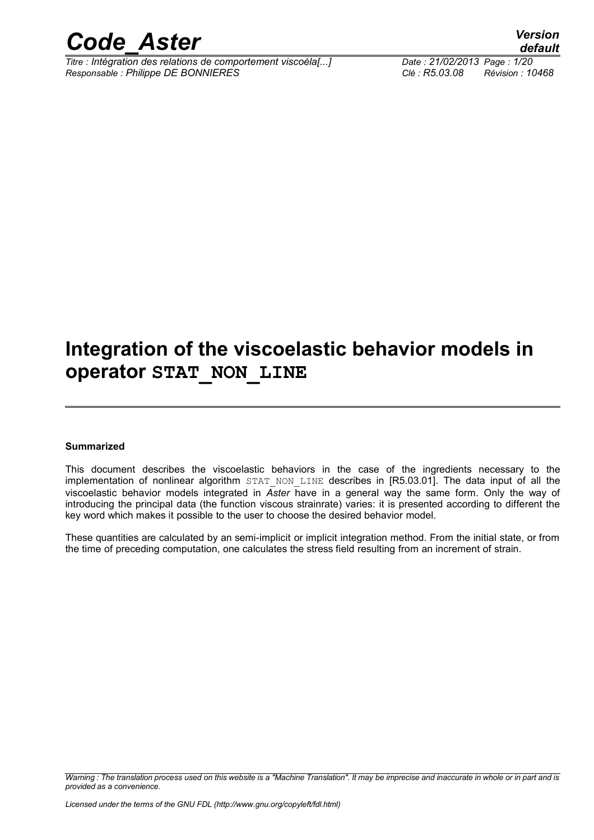

*Titre : Intégration des relations de comportement viscoéla[...] Date : 21/02/2013 Page : 1/20 Responsable : Philippe DE BONNIERES Clé : R5.03.08 Révision : 10468*

### **Integration of the viscoelastic behavior models in operator STAT\_NON\_LINE**

#### **Summarized**

This document describes the viscoelastic behaviors in the case of the ingredients necessary to the implementation of nonlinear algorithm STAT NON LINE describes in [R5.03.01]. The data input of all the viscoelastic behavior models integrated in *Aster* have in a general way the same form. Only the way of introducing the principal data (the function viscous strainrate) varies: it is presented according to different the key word which makes it possible to the user to choose the desired behavior model.

These quantities are calculated by an semi-implicit or implicit integration method. From the initial state, or from the time of preceding computation, one calculates the stress field resulting from an increment of strain.

*Warning : The translation process used on this website is a "Machine Translation". It may be imprecise and inaccurate in whole or in part and is provided as a convenience.*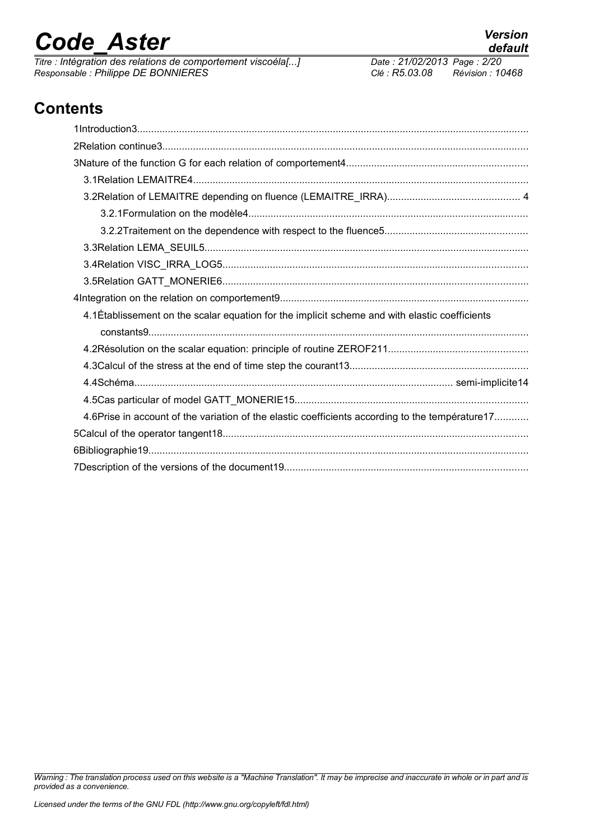*Titre : Intégration des relations de comportement viscoéla[...] Date : 21/02/2014 Date : 21/02/2013 Page : Philippe DE BONNIERES Responsable : Philippe DE BONNIERES Clé : R5.03.08 Révision : 10468*

### **Contents**

| 4.1 Etablissement on the scalar equation for the implicit scheme and with elastic coefficients  |
|-------------------------------------------------------------------------------------------------|
|                                                                                                 |
|                                                                                                 |
|                                                                                                 |
|                                                                                                 |
|                                                                                                 |
| 4.6Prise in account of the variation of the elastic coefficients according to the température17 |
|                                                                                                 |
|                                                                                                 |
|                                                                                                 |

*Warning : The translation process used on this website is a "Machine Translation". It may be imprecise and inaccurate in whole or in part and is provided as a convenience.*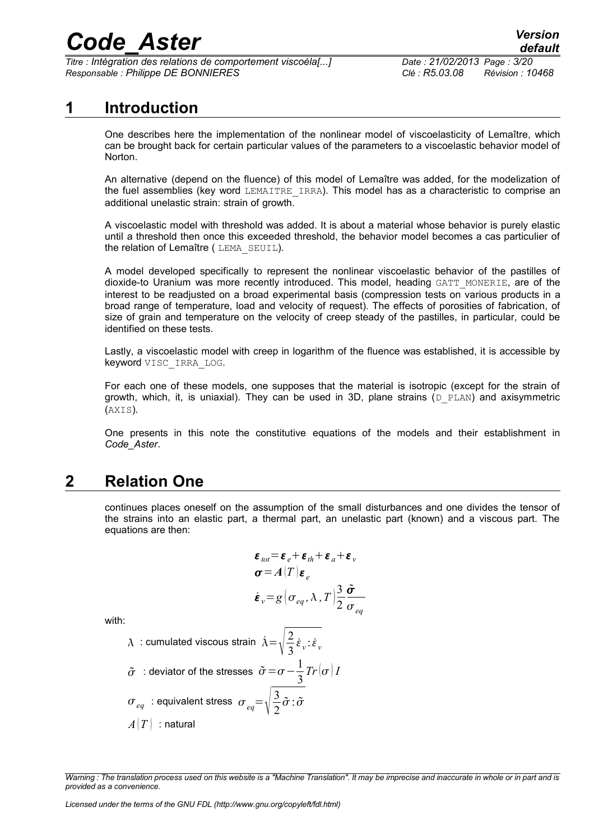*Titre : Intégration des relations de comportement viscoéla[...] Date : 21/02/2013 Page : 3/20 Responsable : Philippe DE BONNIERES Clé : R5.03.08 Révision : 10468*

### **1 Introduction**

One describes here the implementation of the nonlinear model of viscoelasticity of Lemaître, which can be brought back for certain particular values of the parameters to a viscoelastic behavior model of Norton.

An alternative (depend on the fluence) of this model of Lemaître was added, for the modelization of the fuel assemblies (key word LEMAITRE IRRA). This model has as a characteristic to comprise an additional unelastic strain: strain of growth.

A viscoelastic model with threshold was added. It is about a material whose behavior is purely elastic until a threshold then once this exceeded threshold, the behavior model becomes a cas particulier of the relation of Lemaître ( LEMA\_SEUIL).

A model developed specifically to represent the nonlinear viscoelastic behavior of the pastilles of dioxide-to Uranium was more recently introduced. This model, heading GATT MONERIE, are of the interest to be readjusted on a broad experimental basis (compression tests on various products in a broad range of temperature, load and velocity of request). The effects of porosities of fabrication, of size of grain and temperature on the velocity of creep steady of the pastilles, in particular, could be identified on these tests.

Lastly, a viscoelastic model with creep in logarithm of the fluence was established, it is accessible by keyword VISC\_IRRA\_LOG.

For each one of these models, one supposes that the material is isotropic (except for the strain of growth, which, it, is uniaxial). They can be used in 3D, plane strains  $(D. PLAN)$  and axisymmetric (AXIS).

One presents in this note the constitutive equations of the models and their establishment in *Code\_Aster*.

### **2 Relation One**

continues places oneself on the assumption of the small disturbances and one divides the tensor of the strains into an elastic part, a thermal part, an unelastic part (known) and a viscous part. The equations are then:

$$
\varepsilon_{tot} = \varepsilon_e + \varepsilon_{th} + \varepsilon_a + \varepsilon_v
$$
  
\n
$$
\sigma = A(T)\varepsilon_e
$$
  
\n
$$
\varepsilon_v = g(\sigma_{eq}, \lambda, T) \frac{3}{2} \frac{\tilde{\sigma}}{\sigma_{eq}}
$$

with:

 $\lambda$  : cumulated viscous strain  $\dot{\lambda} = \sqrt{\frac{2}{3}}$ .  $\frac{2}{3}\dot{\varepsilon}_v \cdot \dot{\varepsilon}_v$  $\tilde{\sigma}$  : deviator of the stresses  $\tilde{\sigma} = \sigma - \frac{1}{2}$ 3  $Tr\left[\sigma\right]I$  $\sigma_{\textit{eq}}$  : equivalent stress  $\sigma_{\textit{eq}} = \sqrt{\frac{3}{2}}$ 2  $\tilde{\sigma}$  :  $\tilde{\sigma}$  $A(T)$ : natural

*Warning : The translation process used on this website is a "Machine Translation". It may be imprecise and inaccurate in whole or in part and is provided as a convenience.*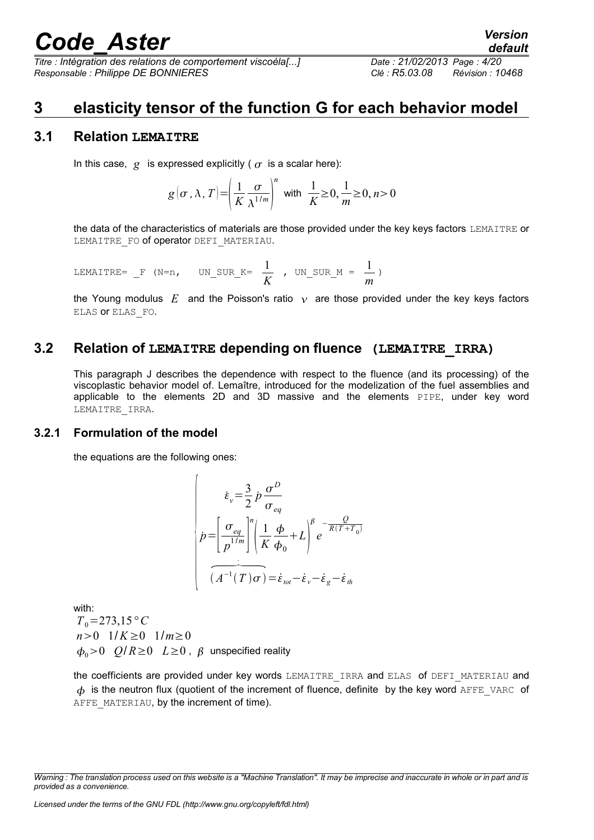*Titre : Intégration des relations de comportement viscoéla[...] Date : 21/02/2013 Page : 4/20 Responsable : Philippe DE BONNIERES Clé : R5.03.08 Révision : 10468*

### **3 elasticity tensor of the function G for each behavior model**

#### **3.1 Relation LEMAITRE**

In this case,  $q$  is expressed explicitly ( $q$  is a scalar here):

$$
g(\sigma, \lambda, T) = \left(\frac{1}{K} \frac{\sigma}{\lambda^{1/m}}\right)^n \text{ with } \frac{1}{K} \ge 0, \frac{1}{m} \ge 0, n > 0
$$

the data of the characteristics of materials are those provided under the key keys factors LEMAITRE or LEMAITRE FO of operator DEFI\_MATERIAU.

LEMATIRE = 
$$
F
$$
 (N=n, UN \_SUR\_K =  $\frac{1}{K}$ , UN \_SUR\_M =  $\frac{1}{m}$ )

the Young modulus E and the Poisson's ratio  $\gamma$  are those provided under the key keys factors ELAS or ELAS\_FO.

#### **3.2 Relation of LEMAITRE depending on fluence (LEMAITRE\_IRRA)**

This paragraph J describes the dependence with respect to the fluence (and its processing) of the viscoplastic behavior model of. Lemaître, introduced for the modelization of the fuel assemblies and applicable to the elements 2D and 3D massive and the elements PIPE, under key word LEMAITRE\_IRRA.

#### **3.2.1 Formulation of the model**

the equations are the following ones:

$$
\dot{\varepsilon}_{v} = \frac{3}{2} \dot{p} \frac{\sigma^{D}}{\sigma_{eq}}
$$
\n
$$
\dot{p} = \left[ \frac{\sigma_{eq}}{p^{1/m}} \right]^{n} \left( \frac{1}{K} \frac{\phi}{\phi_{0}} + L \right)^{\beta} e^{-\frac{Q}{R(T+T_{0})}}
$$
\n
$$
\overbrace{(A^{-1}(T)\sigma)}^{n} = \dot{\varepsilon}_{tot} - \dot{\varepsilon}_{v} - \dot{\varepsilon}_{g} - \dot{\varepsilon}_{th}
$$

with:

 $T_0$ =273,15<sup>°</sup> *C n*>0  $1/K \ge 0$  1/*m*≥0  $\phi_0 > 0$   $Q/R \ge 0$   $L \ge 0$ ,  $\beta$  unspecified reality

the coefficients are provided under key words LEMAITRE IRRA and ELAS of DEFI\_MATERIAU and  $\phi$  is the neutron flux (quotient of the increment of fluence, definite by the key word AFFE\_VARC of AFFE\_MATERIAU, by the increment of time).

*Warning : The translation process used on this website is a "Machine Translation". It may be imprecise and inaccurate in whole or in part and is provided as a convenience.*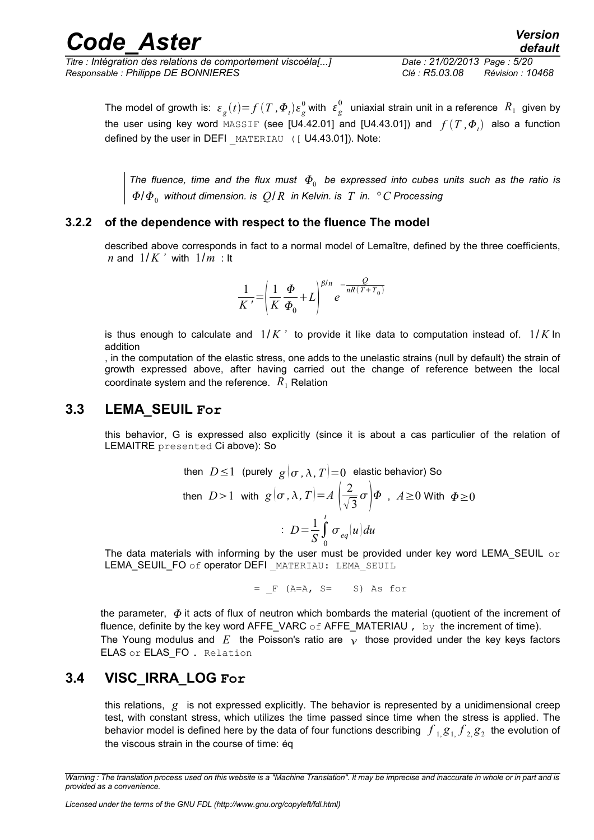*Titre : Intégration des relations de comportement viscoéla[...] Date : 21/02/2013 Page : 5/20 Responsable : Philippe DE BONNIERES Clé : R5.03.08 Révision : 10468*

*default*

The model of growth is:  $\varepsilon_{g}(t){=}f\left(T\,,\boldsymbol{\varPhi}_{t}\right)\varepsilon_{g}^{0}$  with  $\;\varepsilon_{g}^{0}$  $_{\text{e}}^{0}$  uniaxial strain unit in a reference  $\ R_{1}$  given by the user using key word  $\texttt{MASSET}$  (see [U4.42.01] and [U4.43.01]) and  $f\left(\overline{T}$  , $\Phi_{_I}\right)$  also a function defined by the user in DEFI MATERIAU ([ U4.43.01]). Note:

The fluence, time and the flux must  $\,\varPhi_{_0}\,$  be expressed into cubes units such as the ratio is /<sup>0</sup> *without dimension. is Q*/ *R in Kelvin. is T in. °C Processing*

#### **3.2.2 of the dependence with respect to the fluence The model**

described above corresponds in fact to a normal model of Lemaître, defined by the three coefficients, *n* and  $1/K$  *'* with  $1/m$  : It

$$
\frac{1}{K'} = \left(\frac{1}{K}\frac{\Phi}{\Phi_0} + L\right)^{\beta/n} e^{-\frac{Q}{nR(T+T_0)}}
$$

is thus enough to calculate and  $1/K$  *'* to provide it like data to computation instead of.  $1/K$  In addition

, in the computation of the elastic stress, one adds to the unelastic strains (null by default) the strain of growth expressed above, after having carried out the change of reference between the local coordinate system and the reference.  $R_1$  Relation

#### **3.3 LEMA\_SEUIL For**

this behavior, G is expressed also explicitly (since it is about a cas particulier of the relation of LEMAITRE presented Ci above): So

then 
$$
D \le 1
$$
 (purely  $g(\sigma, \lambda, T) = 0$  elastic behavior) So  
then  $D > 1$  with  $g(\sigma, \lambda, T) = A\left(\frac{2}{\sqrt{3}}\sigma\right)\Phi$ ,  $A \ge 0$  With  $\Phi \ge 0$   

$$
\therefore D = \frac{1}{S}\int_{0}^{t} \sigma_{eq}(u)du
$$

The data materials with informing by the user must be provided under key word LEMA\_SEUIL  $\,\circ$ r LEMA\_SEUIL\_FO of operator DEFI MATERIAU: LEMA SEUIL

 $=$   $F$  (A=A, S= S) As for

the parameter,  $\phi$  it acts of flux of neutron which bombards the material (quotient of the increment of fluence, definite by the key word AFFE\_VARC of AFFE\_MATERIAU, by the increment of time). The Young modulus and E the Poisson's ratio are  $\gamma$  those provided under the key keys factors ELAS or ELAS FO . Relation

### **3.4 VISC\_IRRA\_LOG For**

this relations, *g* is not expressed explicitly. The behavior is represented by a unidimensional creep test, with constant stress, which utilizes the time passed since time when the stress is applied. The behavior model is defined here by the data of four functions describing  $\,\,f_{\,1,}B_{\,1,}\,f_{\,2,}\,g_{\,2}\,$  the evolution of the viscous strain in the course of time: éq

*Warning : The translation process used on this website is a "Machine Translation". It may be imprecise and inaccurate in whole or in part and is provided as a convenience.*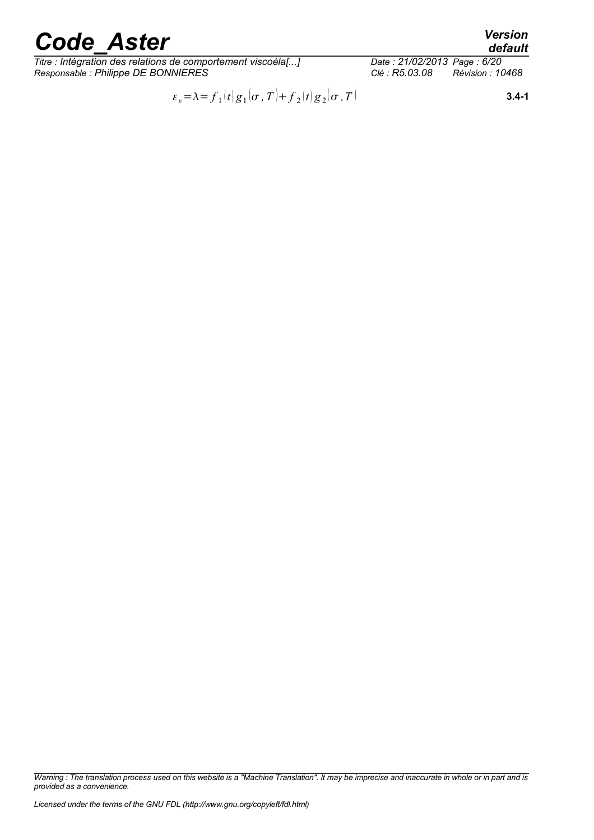*Titre : Intégration des relations de comportement viscoéla[...] Date : 21/02/2013 Page : 6/20 Responsable : Philippe DE BONNIERES Clé : R5.03.08 Révision : 10468*

*Licensed under the terms of the GNU FDL (http://www.gnu.org/copyleft/fdl.html)*

*provided as a convenience.*

*Warning : The translation process used on this website is a "Machine Translation". It may be imprecise and inaccurate in whole or in part and is*

*,T* **3.4-1**

$$
\varepsilon_{v} = \lambda = f_1(t) g_1(\sigma, T) + f_2(t) g_2(\sigma, T)
$$

$$
f_{\rm{max}}
$$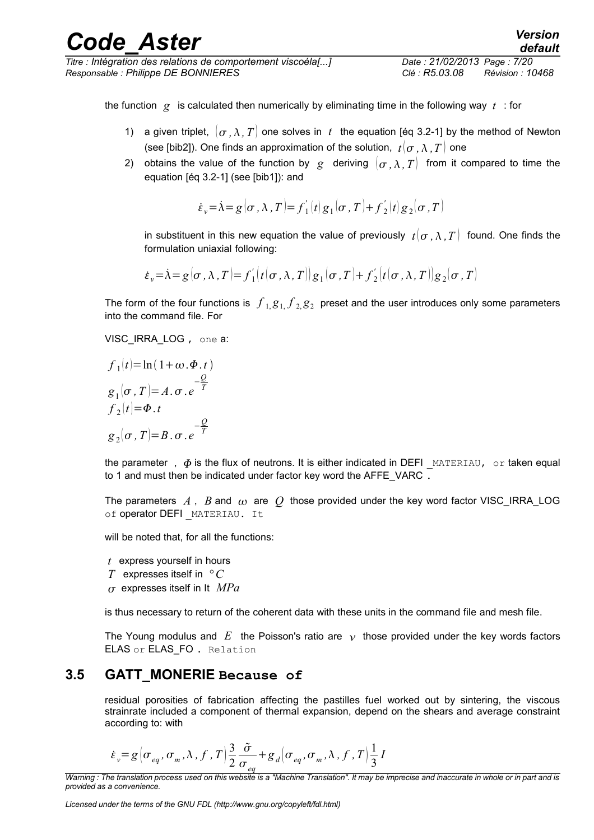*Titre : Intégration des relations de comportement viscoéla[...] Date : 21/02/2013 Page : 7/20 Responsable : Philippe DE BONNIERES Clé : R5.03.08 Révision : 10468*

*default*

the function *g* is calculated then numerically by eliminating time in the following way *t* : for

- 1) a given triplet,  $(\sigma, \lambda, T)$  one solves in t the equation [éq 3.2-1] by the method of Newton (see [bib2]). One finds an approximation of the solution,  $t/\sigma$ ,  $\lambda$ ,  $T$  one
- 2) obtains the value of the function by *g* deriving  $(\sigma, \lambda, T)$  from it compared to time the equation [éq 3.2-1] (see [bib1]): and

$$
\dot{\varepsilon}_v = \dot{\lambda} = g(\sigma, \lambda, T) = f'_1(t)g_1(\sigma, T) + f'_2(t)g_2(\sigma, T)
$$

in substituent in this new equation the value of previously  $t(\sigma, \lambda, T)$  found. One finds the formulation uniaxial following:

$$
\dot{\varepsilon}_v = \dot{\lambda} = g(\sigma, \lambda, T) = f'_1(t(\sigma, \lambda, T)) g_1(\sigma, T) + f'_2(t(\sigma, \lambda, T)) g_2(\sigma, T)
$$

The form of the four functions is  $\left. f\right. _{1,}g_{1,}f_{2,}g_{2}\right.$  preset and the user introduces only some parameters into the command file. For

#### VISC\_IRRA\_LOG, one a:

$$
f_1(t)=\ln(1+\omega.\Phi.t)
$$
  
\n
$$
g_1(\sigma, T)=A.\sigma.e^{-\frac{Q}{T}}
$$
  
\n
$$
f_2(t)=\Phi.t
$$
  
\n
$$
g_2(\sigma, T)=B.\sigma.e^{-\frac{Q}{T}}
$$

the parameter,  $\phi$  is the flux of neutrons. It is either indicated in DEFI MATERIAU, or taken equal to 1 and must then be indicated under factor key word the AFFE\_VARC .

The parameters  $A$ ,  $B$  and  $\omega$  are  $O$  those provided under the key word factor VISC IRRA LOG of operator DEFI MATERIAU. It

will be noted that, for all the functions:

- *t* express yourself in hours
- *T* expresses itself in *° C*
- $\sigma$  expresses itself in It  $MPa$

is thus necessary to return of the coherent data with these units in the command file and mesh file.

The Young modulus and E the Poisson's ratio are  $\gamma$  those provided under the key words factors ELAS or ELAS FO. Relation

#### **3.5 GATT\_MONERIE Because of**

residual porosities of fabrication affecting the pastilles fuel worked out by sintering, the viscous strainrate included a component of thermal expansion, depend on the shears and average constraint according to: with

$$
\dot{\varepsilon}_v = g \left( \sigma_{eq}, \sigma_m, \lambda, f, T \right) \frac{3}{2} \frac{\tilde{\sigma}}{\sigma_{eq}} + g_d \left( \sigma_{eq}, \sigma_m, \lambda, f, T \right) \frac{1}{3} I
$$

*Warning : The translation process used on this website is a "Machine Translation". It may be imprecise and inaccurate in whole or in part and is provided as a convenience.*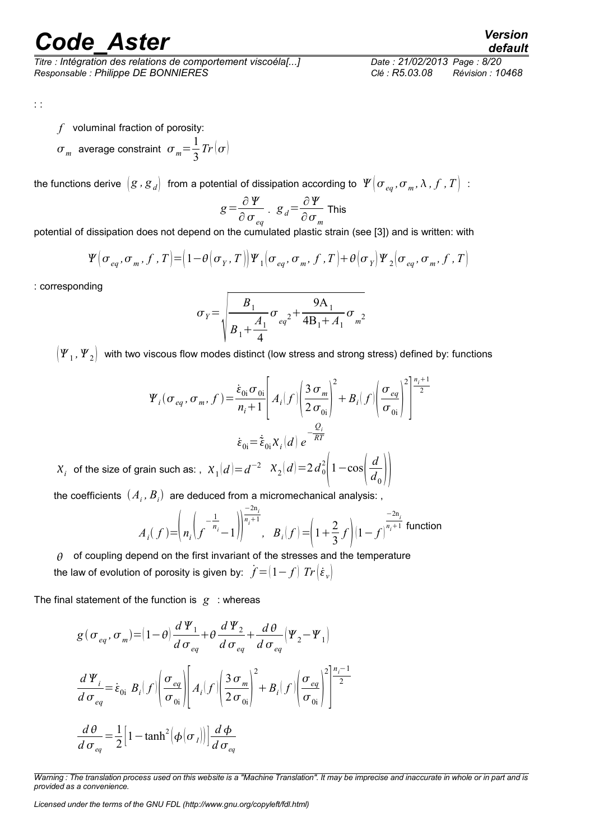*Titre : Intégration des relations de comportement viscoéla[...] Date : 21/02/2013 Page : 8/20 Responsable : Philippe DE BONNIERES Clé : R5.03.08 Révision : 10468*

*default*

: :

*f* voluminal fraction of porosity:

 $\sigma_m$  average constraint  $\sigma_m = \frac{1}{2}$ 3  $Tr(\sigma)$ 

the functions derive  $\,[g$  *,*  $g_{\,d}\big]\,$  *fr*om a potential of dissipation according to  $\,[\,Y\,]\sigma_{\,eq},\sigma_{\,m},\lambda$  ,  $f$  ,  $T\big]\,$  :

$$
g = \frac{\partial \varPsi}{\partial \sigma_{eq}} \cdot g_d = \frac{\partial \varPsi}{\partial \sigma_m}
$$
 This

potential of dissipation does not depend on the cumulated plastic strain (see [3]) and is written: with

$$
\Psi(\sigma_{eq}, \sigma_m, f, T) = (1 - \theta(\sigma_Y, T)) \Psi_1(\sigma_{eq}, \sigma_m, f, T) + \theta(\sigma_Y) \Psi_2(\sigma_{eq}, \sigma_m, f, T)
$$

: corresponding

$$
\sigma_Y = \sqrt{\frac{B_1}{B_1 + \frac{A_1}{4}}} \sigma_{eq^2} + \frac{9A_1}{4B_1 + A_1} \sigma_{m^2}
$$

 $\left( \bm{\varPsi}_1 \,,\bm{\varPsi}_2\right)\,$  with two viscous flow modes distinct (low stress and strong stress) defined by: functions

$$
\Psi_i(\sigma_{eq}, \sigma_m, f) = \frac{\dot{\varepsilon}_{0i}\sigma_{0i}}{n_i + 1} \left[ A_i(f) \left( \frac{3 \sigma_m}{2 \sigma_{0i}} \right)^2 + B_i(f) \left( \frac{\sigma_{eq}}{\sigma_{0i}} \right)^2 \right]^{\frac{n_i + 1}{2}}
$$

$$
\dot{\varepsilon}_{0i} = \dot{\varepsilon}_{0i} X_i(d) e^{-\frac{Q_i}{RT}}
$$

$$
X_i \text{ of the size of grain such as: }, \ X_1(d) = d^{-2} \left[ X_2(d) = 2 d_0^2 \left( 1 - \cos\left( \frac{d}{d_0} \right) \right) \right]
$$

the coefficients  $\left( A_{i},B_{i}\right)$  are deduced from a micromechanical analysis: ,

$$
A_i(f) = \left( n_i \left( f^{-\frac{1}{n_i}} - 1 \right) \right)^{\frac{-2n_i}{n_i + 1}}, \quad B_i(f) = \left( 1 + \frac{2}{3} f \right) \left( 1 - f \right)^{\frac{-2n_i}{n_i + 1}} \text{function}
$$

 $\theta$  of coupling depend on the first invariant of the stresses and the temperature the law of evolution of porosity is given by:  $\dot{f} = (1 - f) Tr(\dot{\epsilon}_v)$ 

The final statement of the function is  $g$  : whereas

$$
g(\sigma_{eq}, \sigma_m) = (1 - \theta) \frac{d \Psi_1}{d \sigma_{eq}} + \theta \frac{d \Psi_2}{d \sigma_{eq}} + \frac{d \theta}{d \sigma_{eq}} (\Psi_2 - \Psi_1)
$$
  

$$
\frac{d \Psi_i}{d \sigma_{eq}} = \dot{\varepsilon}_{0i} B_i(f) \left( \frac{\sigma_{eq}}{\sigma_{0i}} \right) \left[ A_i(f) \left( \frac{3 \sigma_m}{2 \sigma_{0i}} \right)^2 + B_i(f) \left( \frac{\sigma_{eq}}{\sigma_{0i}} \right)^2 \right] \frac{n_i - 1}{2}
$$
  

$$
\frac{d \theta}{d \sigma_{eq}} = \frac{1}{2} \left[ 1 - \tanh^2(\phi(\sigma_i)) \right] \frac{d \phi}{d \sigma_{eq}}
$$

*Warning : The translation process used on this website is a "Machine Translation". It may be imprecise and inaccurate in whole or in part and is provided as a convenience.*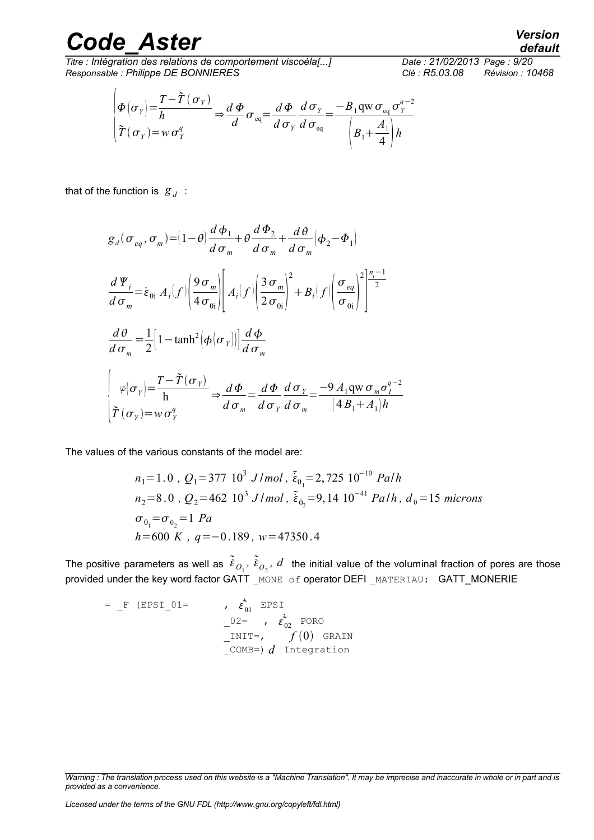$\sqrt{ }$ 

*Titre : Intégration des relations de comportement viscoéla[...] Date : 21/02/2013 Page : 9/20 Responsable : Philippe DE BONNIERES Clé : R5.03.08 Révision : 10468*

$$
\begin{pmatrix} \Phi(\sigma_Y) = \frac{T - \tilde{T}(\sigma_Y)}{h} \\ \tilde{T}(\sigma_Y) = w \sigma_Y^q \end{pmatrix} \Rightarrow \frac{d \Phi}{d} \sigma_{eq} = \frac{d \Phi}{d \sigma_Y} \frac{d \sigma_Y}{d \sigma_{eq}} = \frac{-B_1 \text{qw} \sigma_{eq} \sigma_Y^{q-2}}{\left(B_1 + \frac{A_1}{4}\right)h}
$$

that of the function is  $g_d$ :

$$
g_{d}(\sigma_{eq}, \sigma_{m}) = (1 - \theta) \frac{d \phi_{1}}{d \sigma_{m}} + \theta \frac{d \phi_{2}}{d \sigma_{m}} + \frac{d \theta}{d \sigma_{m}} (\phi_{2} - \phi_{1})
$$
  
\n
$$
\frac{d \Psi_{i}}{d \sigma_{m}} = \dot{\varepsilon}_{0i} A_{i}[f] \left( \frac{9 \sigma_{m}}{4 \sigma_{0i}} \right) \left[ A_{i}[f] \left( \frac{3 \sigma_{m}}{2 \sigma_{0i}} \right)^{2} + B_{i}[f] \left( \frac{\sigma_{eq}}{\sigma_{0i}} \right)^{2} \right] \frac{n_{i} - 1}{2}
$$
  
\n
$$
\frac{d \theta}{d \sigma_{m}} = \frac{1}{2} \left[ 1 - \tanh^{2} \left( \phi(\sigma_{Y}) \right) \right] \frac{d \phi}{d \sigma_{m}}
$$
  
\n
$$
\left( \varphi(\sigma_{Y}) = \frac{T - \tilde{T}(\sigma_{Y})}{h} \right) \Rightarrow \frac{d \phi}{d \sigma_{m}} = \frac{d \phi}{d \sigma_{Y}} \frac{d \sigma_{Y}}{d \sigma_{m}} = \frac{-9 A_{1} \text{qw} \sigma_{m} \sigma_{I}^{q-2}}{(4 B_{1} + A_{1}) h}
$$

The values of the various constants of the model are:

$$
n_1 = 1.0 \, , \, Q_1 = 377 \, 10^3 \, J/mol \, , \, \tilde{\epsilon}_{0_1} = 2,725 \, 10^{-10} \, Palh
$$
\n
$$
n_2 = 8.0 \, , \, Q_2 = 462 \, 10^3 \, J/mol \, , \, \tilde{\epsilon}_{0_2} = 9,14 \, 10^{-41} \, Palh \, , \, d_0 = 15 \, microns
$$
\n
$$
\sigma_{0_1} = \sigma_{0_2} = 1 \, Pa
$$
\n
$$
h = 600 \, K \, , \, q = -0.189 \, , \, w = 47350.4
$$

The positive parameters as well as  $\tilde{\dot\epsilon}_{O_1}$ ,  $\tilde{\dot\epsilon}_{O_2}$ ,  $d$  the initial value of the voluminal fraction of pores are those provided under the key word factor GATT MONE of operator DEFI MATERIAU: GATT\_MONERIE

$$
= \begin{array}{ccc} \n\text{F (EPSI_01=} & \hat{\epsilon}_{01} & \text{EPSI} \\ \n-02 = & \hat{\epsilon}_{02} & \text{PORO} \\ \n-1 \text{NIT=} & \hat{\epsilon}_{02} & \text{PORO} \\ \n-1 \text{MIT=} & \text{OMB=} & d & \text{Integration} \n\end{array}
$$

*Warning : The translation process used on this website is a "Machine Translation". It may be imprecise and inaccurate in whole or in part and is provided as a convenience.*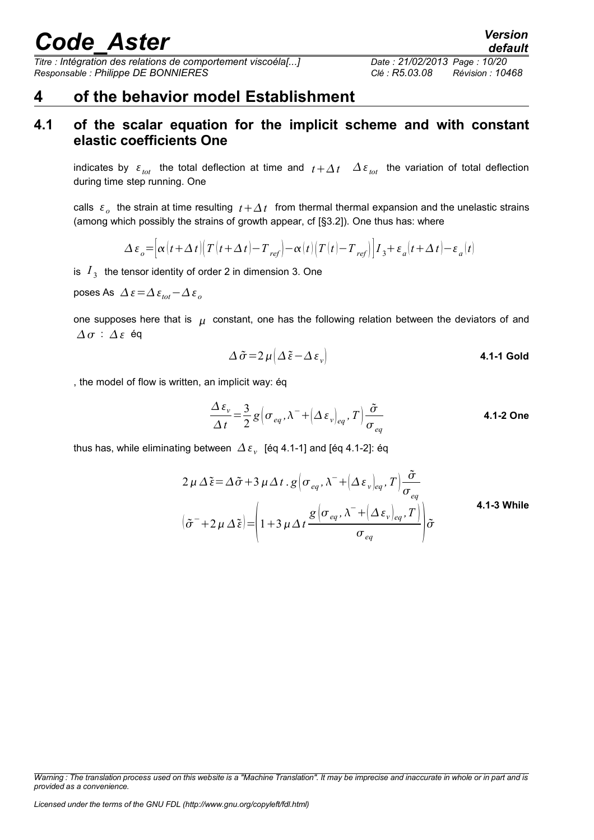*Titre : Intégration des relations de comportement viscoéla[...] Date : 21/02/2013 Page : 10/20 Responsable : Philippe DE BONNIERES Clé : R5.03.08 Révision : 10468*

### **4 of the behavior model Establishment**

### **4.1 of the scalar equation for the implicit scheme and with constant elastic coefficients One**

indicates by  $\varepsilon_{tot}$  the total deflection at time and  $t + \Delta t$   $\Delta \varepsilon_{tot}$  the variation of total deflection during time step running. One

calls  $\epsilon_o$  the strain at time resulting  $t + \Delta t$  from thermal thermal expansion and the unelastic strains (among which possibly the strains of growth appear, cf [§3.2]). One thus has: where

$$
\Delta \, \varepsilon_{o} \!=\! \left[\alpha\!\left(t+\Delta\,t\right)\!\!\left(\,T\!\left(t+\Delta\,t\right)\!-\!T_{\,ref}\right)\!-\!\alpha\!\left(t\right)\!\left(T\!\left(t\right)\!-\!T_{\,ref}\right)\right]\!I_{\,3} \!+\! \varepsilon_{\,a}\!\left(t+\Delta\,t\right)\!-\!\varepsilon_{\,a}\!\left(t\right)
$$

is  $I_3$  the tensor identity of order 2 in dimension 3. One

poses As  $\Delta$  ε =  $\Delta$  ε<sub>tot</sub> −  $\Delta$  ε<sub>ρ</sub>

one supposes here that is  $\mu$  constant, one has the following relation between the deviators of and  $\Delta \sigma$  :  $\Delta \varepsilon$  éq

$$
\Delta \tilde{\sigma} = 2 \,\mu \big( \Delta \tilde{\epsilon} - \Delta \, \epsilon_{v} \big)
$$
 **4.1-1 Gold**

, the model of flow is written, an implicit way: éq

$$
\frac{\Delta \varepsilon_{v}}{\Delta t} = \frac{3}{2} g \Big( \sigma_{eq}, \lambda^{-} + \Big( \Delta \varepsilon_{v} \Big)_{eq}, T \Big) \frac{\tilde{\sigma}}{\sigma_{eq}}
$$
\n4.1-2 One

thus has, while eliminating between  $\mathit{\Delta}\,\varepsilon_{_{\mathcal{V}}} \;$  [éq 4.1-1] and [éq 4.1-2]: éq

$$
2 \mu \Delta \tilde{\epsilon} = \Delta \tilde{\sigma} + 3 \mu \Delta t \cdot g \left( \sigma_{eq}, \lambda^{-} + \left( \Delta \epsilon_{\nu} \right)_{eq}, T \right) \frac{\tilde{\sigma}}{\sigma_{eq}}
$$
  

$$
(\tilde{\sigma}^{-} + 2 \mu \Delta \tilde{\epsilon}) = \left( 1 + 3 \mu \Delta t \frac{g \left( \sigma_{eq}, \lambda^{-} + \left( \Delta \epsilon_{\nu} \right)_{eq}, T \right)}{\sigma_{eq}} \right) \tilde{\sigma}
$$
4.1-3 While

*default*

*Warning : The translation process used on this website is a "Machine Translation". It may be imprecise and inaccurate in whole or in part and is provided as a convenience.*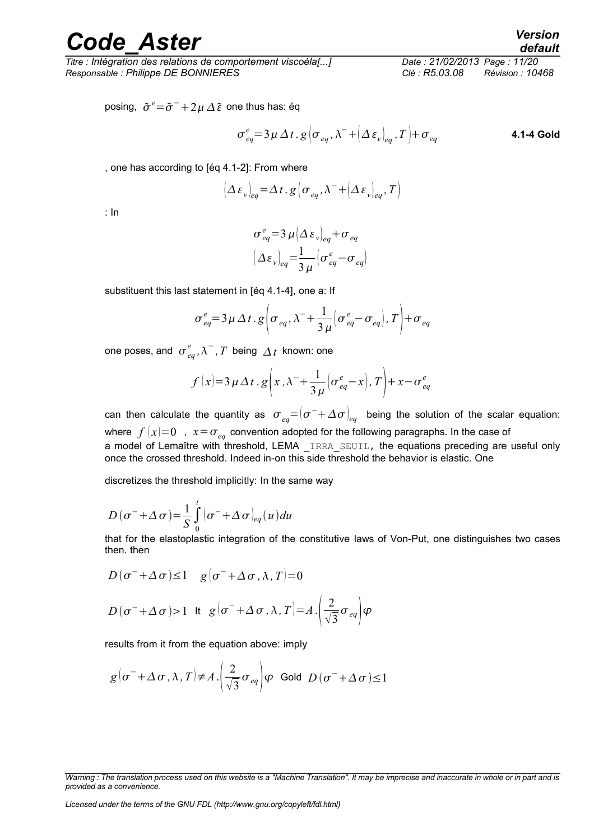*Titre : Intégration des relations de comportement viscoéla[...] Date : 21/02/2013 Page : 11/20 Responsable : Philippe DE BONNIERES Clé : R5.03.08 Révision : 10468*

posing,  $\tilde{\sigma}^e{=}\tilde{\sigma}^-{+}2\mu\,\Delta\,\tilde{\varepsilon}\,$  one thus has: éq

$$
\sigma_{eq}^{e} = 3\,\mu\,\Delta\,t\,.\,g\,\left(\sigma_{eq},\lambda^{-}+\left(\Delta\,\varepsilon_{v}\right)_{eq},T\right)+\sigma_{eq}
$$
\n4.1-4 Gold

, one has according to [éq 4.1-2]: From where

$$
\left(\Delta \,\varepsilon_{v}\right)_{eq} = \Delta \, t \cdot g \left(\sigma_{eq}, \lambda^{-} + \left(\Delta \,\varepsilon_{v}\right)_{eq}, T\right)
$$

: In

$$
\sigma_{eq}^{e} = 3 \mu \left( \Delta \, \varepsilon_{v} \right)_{eq} + \sigma_{eq}
$$
\n
$$
\left( \Delta \varepsilon_{v} \right)_{eq} = \frac{1}{3 \mu} \left( \sigma_{eq}^{e} - \sigma_{eq} \right)
$$

substituent this last statement in [éq 4.1-4], one a: If

$$
\sigma_{eq}^{e} = 3 \mu \Delta t \cdot g \left( \sigma_{eq}, \lambda^{-} + \frac{1}{3 \mu} \left( \sigma_{eq}^{e} - \sigma_{eq} \right), T \right) + \sigma_{eq}
$$

one poses, and  $\sigma_{eq}^e, \lambda^-, T$  being  $\varDelta t$  known: one

$$
f(x)=3 \mu \Delta t \cdot g\left(x, \lambda^{-}+\frac{1}{3\mu}\left(\sigma_{eq}^{e}-x\right), T\right)+x-\sigma_{eq}^{e}
$$

can then calculate the quantity as  $\sigma_{_{eq}}{=}\left|\sigma^{-}{+}\Delta\sigma\right|_{eq}$  being the solution of the scalar equation: where  $f(x)=0$ ,  $x=\sigma_{eq}$  convention adopted for the following paragraphs. In the case of a model of Lemaître with threshold, LEMA IRRA SEUIL, the equations preceding are useful only once the crossed threshold. Indeed in-on this side threshold the behavior is elastic. One

discretizes the threshold implicitly: In the same way

$$
D(\sigma^- + \Delta \sigma) = \frac{1}{S} \int_0^t (\sigma^- + \Delta \sigma)_{eq}(u) du
$$

that for the elastoplastic integration of the constitutive laws of Von-Put, one distinguishes two cases then. then

$$
D(\sigma^- + \Delta \sigma) \le 1 \quad g(\sigma^- + \Delta \sigma, \lambda, T) = 0
$$
  

$$
D(\sigma^- + \Delta \sigma) > 1 \quad \text{It} \quad g(\sigma^- + \Delta \sigma, \lambda, T) = A \cdot \left(\frac{2}{\sqrt{3}} \sigma_{eq}\right) \varphi
$$

results from it from the equation above: imply

$$
g\left(\sigma^{-}+\Delta\sigma,\lambda,T\right)\neq A.\left(\frac{2}{\sqrt{3}}\sigma_{eq}\right)\varphi
$$
 Gold  $D\left(\sigma^{-}+\Delta\sigma\right)\leq1$ 

*Warning : The translation process used on this website is a "Machine Translation". It may be imprecise and inaccurate in whole or in part and is provided as a convenience.*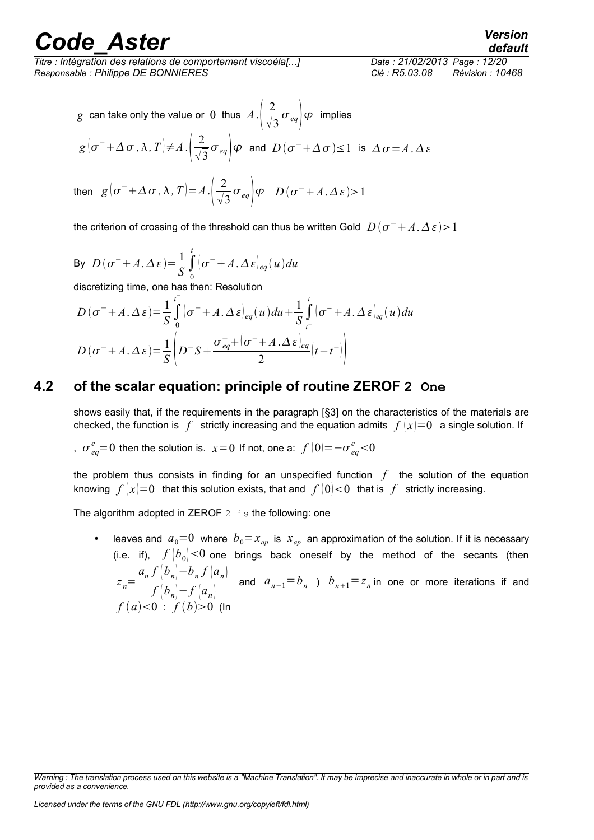*Titre : Intégration des relations de comportement viscoéla[...] Date : 21/02/2013 Page : 12/20 Responsable : Philippe DE BONNIERES Clé : R5.03.08 Révision : 10468*

### *default*

g can take only the value or 0 thus 
$$
A \cdot \left(\frac{2}{\sqrt{3}}\sigma_{eq}\right)\varphi
$$
 implies  
\n $g(\sigma^- + \Delta \sigma, \lambda, T) \neq A \cdot \left(\frac{2}{\sqrt{3}}\sigma_{eq}\right)\varphi$  and  $D(\sigma^- + \Delta \sigma) \le 1$  is  $\Delta \sigma = A \cdot \Delta \varepsilon$   
\nthen  $g(\sigma^- + \Delta \sigma, \lambda, T) = A \cdot \left(\frac{2}{\sqrt{3}}\sigma_{eq}\right)\varphi$   $D(\sigma^- + A \cdot \Delta \varepsilon) > 1$ 

the criterion of crossing of the threshold can thus be written Gold  $|D(\sigma^-+A,\Delta\,\varepsilon)\rangle$  1

By 
$$
D(\sigma^- + A \cdot \Delta \varepsilon) = \frac{1}{S} \int_0^t (\sigma^- + A \cdot \Delta \varepsilon)_{eq}(u) du
$$
  
discretizing time, one has then: Resolution  

$$
D(\sigma^- + A \cdot \Delta \varepsilon) = \frac{1}{S} \int_0^t (\sigma^- + A \cdot \Delta \varepsilon)_{eq}(u) du + \frac{1}{S} \int_0^t (\sigma^- + A \cdot \Delta \varepsilon)_{eq}(u) du + \frac{1}{S} \int_0^t (\sigma^- + A \cdot \Delta \varepsilon)_{eq}(u) du + \frac{1}{S} \int_0^t (\sigma^- + A \cdot \Delta \varepsilon)_{eq}(u) du + \frac{1}{S} \int_0^t (\sigma^- + A \cdot \Delta \varepsilon)_{eq}(u) du + \frac{1}{S} \int_0^t (\sigma^- + A \cdot \Delta \varepsilon)_{eq}(u) du + \frac{1}{S} \int_0^t (\sigma^- + A \cdot \Delta \varepsilon)_{eq}(u) du + \frac{1}{S} \int_0^t (\sigma^- + A \cdot \Delta \varepsilon)_{eq}(u) du + \frac{1}{S} \int_0^t (\sigma^- + A \cdot \Delta \varepsilon)_{eq}(u) du + \frac{1}{S} \int_0^t (\sigma^- + A \cdot \Delta \varepsilon)_{eq}(u) du + \frac{1}{S} \int_0^t (\sigma^- + A \cdot \Delta \varepsilon)_{eq}(u) du + \frac{1}{S} \int_0^t (\sigma^- + A \cdot \Delta \varepsilon)_{eq}(u) du + \frac{1}{S} \int_0^t (\sigma^- + A \cdot \Delta \varepsilon)_{eq}(u) du + \frac{1}{S} \int_0^t (\sigma^- + A \cdot \Delta \varepsilon)_{eq}(u) du + \frac{1}{S} \int_0^t (\sigma^- + A \cdot \Delta \varepsilon)_{eq}(u) du + \frac{1}{S} \int_0^t (\sigma^- + A \cdot \Delta \varepsilon)_{eq}(u) du + \frac{1}{S} \int_0^t (\sigma^- + A \cdot \Delta \varepsilon)_{eq}(u) du + \frac{1}{S} \int_0^t (\sigma^- + A \cdot \Delta \varepsilon)_{eq}(u) du + \frac{1}{S} \int_0^t (\sigma^- + A \cdot \Delta \varepsilon)_{eq}(u) du + \frac{1}{S} \int_0^t (\sigma^- + A \cdot \Delta \varepsilon)_{eq
$$

$$
D(\sigma^- + A \cdot \Delta \varepsilon) = \frac{1}{S} \int_0^{\infty} (\sigma^- + A \cdot \Delta \varepsilon)_{eq}(u) du + \frac{1}{S} \int_{\tau^-}^{\infty} (\sigma^- + A \cdot \Delta \varepsilon)_{eq}(u) du
$$
  

$$
D(\sigma^- + A \cdot \Delta \varepsilon) = \frac{1}{S} \left( D^- S + \frac{\sigma_{eq}^- + (\sigma^- + A \cdot \Delta \varepsilon)_{eq}}{2} (t - t^-) \right)
$$

### **4.2 of the scalar equation: principle of routine ZEROF 2 One**

shows easily that, if the requirements in the paragraph [§3] on the characteristics of the materials are checked, the function is f strictly increasing and the equation admits  $f(x)=0$  a single solution. If

*, o*<sup>*e*</sup><sub>*eq*</sub> = 0 then the solution is. *x* = 0 If not, one a: *f*  $|0|$  =− $\sigma$ <sup>*e*</sup><sub>*eq*</sub> < 0

the problem thus consists in finding for an unspecified function *f* the solution of the equation knowing  $f(x)=0$  that this solution exists, that and  $f(0) < 0$  that is f strictly increasing.

The algorithm adopted in ZEROF  $2$  is the following: one

• leaves and  $a_0=0$  where  $b_0=x_{ap}$  is  $x_{ap}$  an approximation of the solution. If it is necessary (i.e. if),  $f(b_0) < 0$  one brings back oneself by the method of the secants (then *z n*=  $a_n f(b_n) - b_n f(a_n)$  $f(b_n)-f(a_n)$ and  $a_{n+1} = b_n$  )  $b_{n+1} = z_n$  in one or more iterations if and  $f(a) < 0$  :  $f(b) > 0$  (In

*Warning : The translation process used on this website is a "Machine Translation". It may be imprecise and inaccurate in whole or in part and is provided as a convenience.*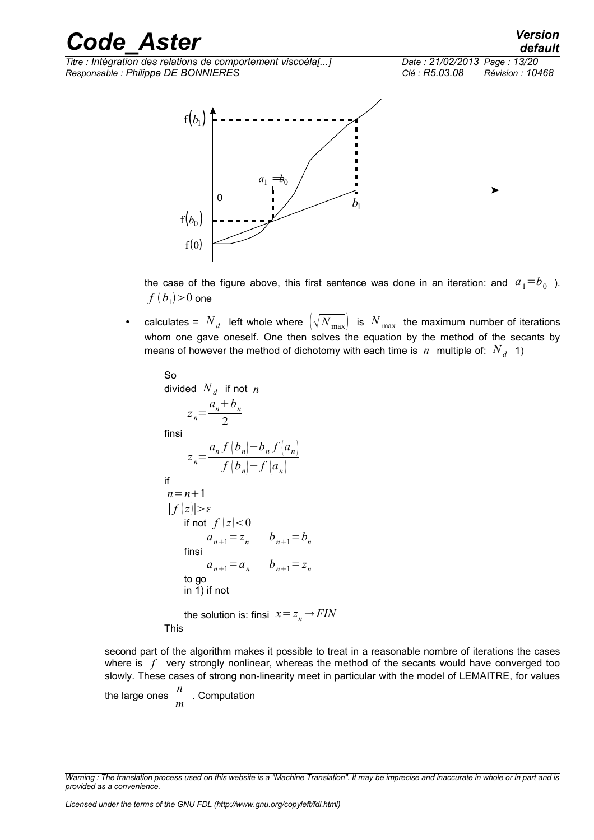*Titre : Intégration des relations de comportement viscoéla[...] Date : 21/02/2013 Page : 13/20 Responsable : Philippe DE BONNIERES Clé : R5.03.08 Révision : 10468*



the case of the figure above, this first sentence was done in an iteration: and  $a^{}_1^{}\!\!=\!b^{}_0^{}$  ).  $f\left( b_{{\scriptscriptstyle 1}} \right) \!>\! 0$  one

• calculates =  $N_d$  left whole where  $\left(\sqrt{N_{\text{max}}}\right)$  is  $N_{\text{max}}$  the maximum number of iterations whom one gave oneself. One then solves the equation by the method of the secants by means of however the method of dichotomy with each time is  $\,n\,$  multiple of:  $\,N_{\,d}\,$  1)

So  
\ndivided 
$$
N_d
$$
 if not *n*  
\n
$$
z_n = \frac{a_n + b_n}{2}
$$
\n
$$
z_n = \frac{a_n f(b_n) - b_n f(a_n)}{f(b_n) - f(a_n)}
$$
\nif  
\n
$$
n = n + 1
$$
\n
$$
|f(z)| > \varepsilon
$$
\nif not  $f(z) < 0$   
\n
$$
a_{n+1} = z_n
$$
\n
$$
b_{n+1} = b_n
$$
\n
$$
a_{n+1} = a_n
$$
\n
$$
b_{n+1} = z_n
$$
\nto go  
\nin 1) if not

the solution is: finsi  $x = z_n \rightarrow FIN$ This

second part of the algorithm makes it possible to treat in a reasonable nombre of iterations the cases where is f very strongly nonlinear, whereas the method of the secants would have converged too slowly. These cases of strong non-linearity meet in particular with the model of LEMAITRE, for values

the large ones 
$$
\frac{n}{m}
$$
. Computation

*Warning : The translation process used on this website is a "Machine Translation". It may be imprecise and inaccurate in whole or in part and is provided as a convenience.*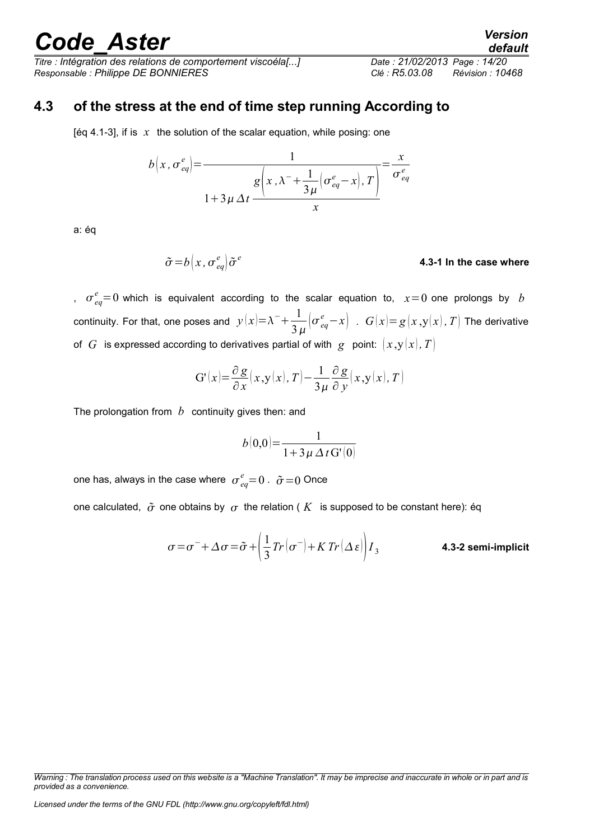*Titre : Intégration des relations de comportement viscoéla[...] Date : 21/02/2013 Page : 14/20 Responsable : Philippe DE BONNIERES Clé : R5.03.08 Révision : 10468*

### **4.3 of the stress at the end of time step running According to**

[éq 4.1-3], if is  $x$  the solution of the scalar equation, while posing: one

$$
b\left(x, \sigma_{eq}^{e}\right) = \frac{1}{1 + 3\mu \Delta t \frac{g\left(x, \lambda^{-} + \frac{1}{3\mu}\left(\sigma_{eq}^{e} - x\right), T\right)}{x}} = \frac{x}{\sigma_{eq}^{e}}
$$

a: éq

$$
\tilde{\sigma} = b \left( x \, , \, \sigma_{eq}^e \right) \tilde{\sigma}^e
$$
\n4.3-1 In the case where

,  $\sigma_{eq}^{e}$ =0 which is equivalent according to the scalar equation to,  $x=0$  one prolongs by *b* continuity. For that, one poses and  $y(x)=\lambda^-+\frac{1}{2}$  $\frac{1}{3\,\mu}\Big(\sigma_{\textit{eq}}^{\textit{e}}-x\Big)$  .  $G(x){=}\,g\big(x\,,{\rm y}(x)\,,\,T\big)$  The derivative of *G* is expressed according to derivatives partial of with *g* point:  $(x,y(x),T)$ 

$$
G'(x) = \frac{\partial g}{\partial x}(x, y(x), T) - \frac{1}{3\mu} \frac{\partial g}{\partial y}(x, y(x), T)
$$

The prolongation from *b* continuity gives then: and

$$
b(0,0) = \frac{1}{1 + 3\,\mu\,\Delta\,t\,\mathrm{G'}(0)}
$$

one has, always in the case where  $\sigma_{eq}^{e}$ =0 .  $\tilde{\sigma}$  =0 Once

one calculated,  $\tilde{\sigma}$  one obtains by  $\sigma$  the relation ( K is supposed to be constant here): éq

$$
\sigma = \sigma^- + \Delta \sigma = \tilde{\sigma} + \left(\frac{1}{3} Tr\left(\sigma^-\right) + KTr\left(\Delta \varepsilon\right)\right) I_3
$$
 **4.3-2 semi-implicit**

*Licensed under the terms of the GNU FDL (http://www.gnu.org/copyleft/fdl.html)*

*default*

*Warning : The translation process used on this website is a "Machine Translation". It may be imprecise and inaccurate in whole or in part and is provided as a convenience.*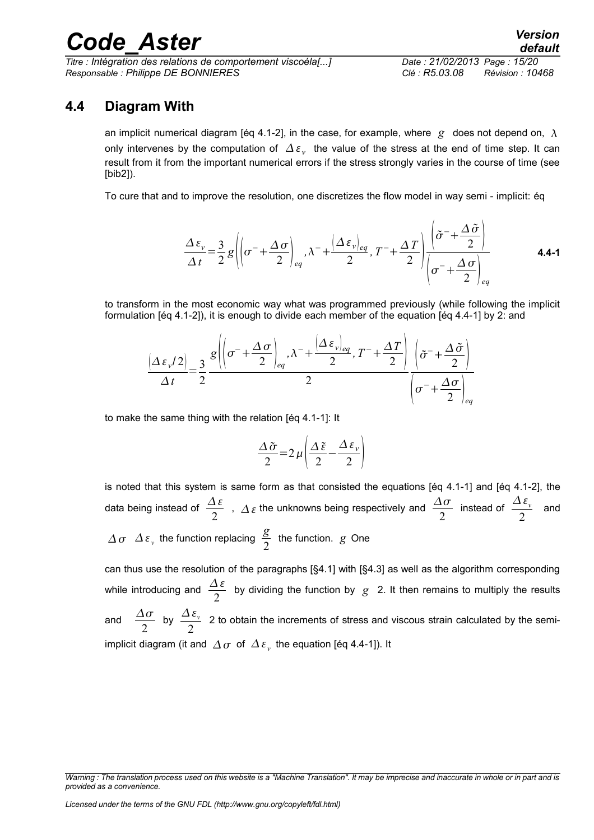*Titre : Intégration des relations de comportement viscoéla[...] Date : 21/02/2013 Page : 15/20 Responsable : Philippe DE BONNIERES Clé : R5.03.08 Révision : 10468*

### **4.4 Diagram With**

an implicit numerical diagram [éq 4.1-2], in the case, for example, where  $g$  does not depend on,  $\lambda$ only intervenes by the computation of  $\varDelta\,\varepsilon_{_{\rm \cal V}}\,$  the value of the stress at the end of time step. It can result from it from the important numerical errors if the stress strongly varies in the course of time (see [bib2]).

To cure that and to improve the resolution, one discretizes the flow model in way semi - implicit: éq

$$
\frac{\Delta \varepsilon_{v}}{\Delta t} = \frac{3}{2} g \left( \left( \sigma^{-} + \frac{\Delta \sigma}{2} \right)_{eq}, \lambda^{-} + \frac{\left( \Delta \varepsilon_{v} \right)_{eq}}{2}, T^{-} + \frac{\Delta T}{2} \right) \frac{\left( \tilde{\sigma}^{-} + \frac{\Delta \tilde{\sigma}}{2} \right)}{\left( \sigma^{-} + \frac{\Delta \sigma}{2} \right)_{eq}} \tag{4.4-1}
$$

to transform in the most economic way what was programmed previously (while following the implicit formulation [éq 4.1-2]), it is enough to divide each member of the equation [éq 4.4-1] by 2: and

$$
\frac{(\Delta \varepsilon_{\nu}/2)}{\Delta t} = \frac{3}{2} \frac{g \left( \left( \sigma^{-} + \frac{\Delta \sigma}{2} \right)_{eq}, \lambda^{-} + \frac{(\Delta \varepsilon_{\nu})_{eq}}{2}, T^{-} + \frac{\Delta T}{2} \right)}{2} \frac{\left( \tilde{\sigma}^{-} + \frac{\Delta \tilde{\sigma}}{2} \right)}{\left( \sigma^{-} + \frac{\Delta \sigma}{2} \right)_{eq}}
$$

to make the same thing with the relation [éq 4.1-1]: It

$$
\frac{\Delta \tilde{\sigma}}{2} = 2 \mu \left( \frac{\Delta \tilde{\epsilon}}{2} - \frac{\Delta \epsilon_{\nu}}{2} \right)
$$

is noted that this system is same form as that consisted the equations [éq 4.1-1] and [éq 4.1-2], the data being instead of  $\frac{\Delta \varepsilon}{2}$  $\frac{\Delta \varepsilon}{2}$  ,  $\Delta \varepsilon$  the unknowns being respectively and  $\frac{\Delta \sigma}{2}$ instead of  $\frac{\Delta \varepsilon_{v}}{2}$  $\frac{2}{2}$  and  $\varDelta \sigma$   $\varDelta \varepsilon$ <sub>v</sub> the function replacing  $\frac{g}{2}$  $\frac{5}{2}$  the function.  $g$  One

can thus use the resolution of the paragraphs [§4.1] with [§4.3] as well as the algorithm corresponding while introducing and  $\frac{\Delta \varepsilon}{2}$ 2 by dividing the function by *g* 2. It then remains to multiply the results and  $\frac{\Delta \sigma}{2}$ 2 by  $\frac{\Delta \varepsilon_v}{\Delta}$  $\frac{2\epsilon_v}{2}$  2 to obtain the increments of stress and viscous strain calculated by the semiimplicit diagram (it and  $\mathop{\varDelta} \sigma$  of  $\mathop{\varDelta}\varepsilon_{_{\rm v}}$  the equation [éq 4.4-1]). It

*Warning : The translation process used on this website is a "Machine Translation". It may be imprecise and inaccurate in whole or in part and is provided as a convenience.*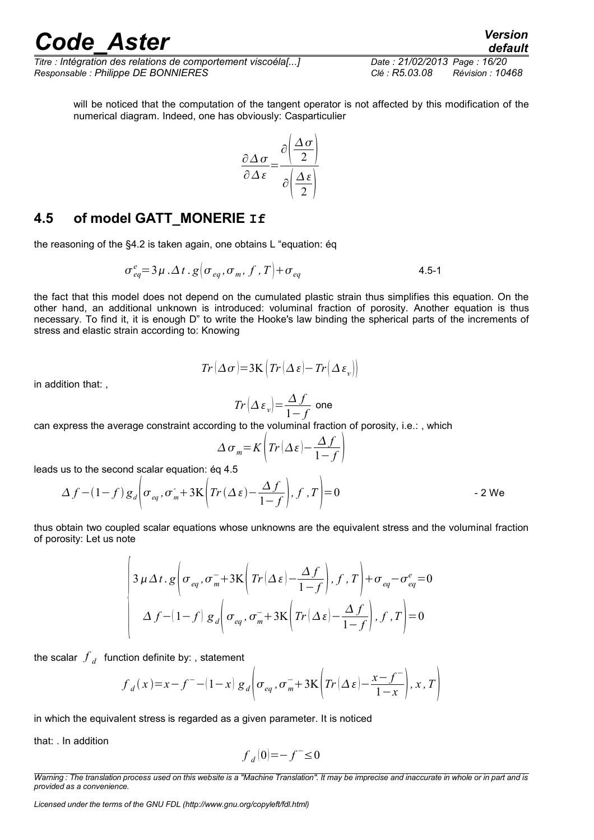*Titre : Intégration des relations de comportement viscoéla[...] Date : 21/02/2013 Page : 16/20 Responsable : Philippe DE BONNIERES Clé : R5.03.08 Révision : 10468*

*default*

will be noticed that the computation of the tangent operator is not affected by this modification of the numerical diagram. Indeed, one has obviously: Casparticulier

$$
\frac{\partial \Delta \sigma}{\partial \Delta \varepsilon} = \frac{\partial \left( \frac{\Delta \sigma}{2} \right)}{\partial \left( \frac{\Delta \varepsilon}{2} \right)}
$$

#### **4.5 of model GATT\_MONERIE If**

the reasoning of the §4.2 is taken again, one obtains L "equation: éq

$$
\sigma_{eq}^e = 3\mu \cdot \Delta t \cdot g \left[ \sigma_{eq}, \sigma_m, f, T \right] + \sigma_{eq} \tag{4.5-1}
$$

the fact that this model does not depend on the cumulated plastic strain thus simplifies this equation. On the other hand, an additional unknown is introduced: voluminal fraction of porosity. Another equation is thus necessary. To find it, it is enough D" to write the Hooke's law binding the spherical parts of the increments of stress and elastic strain according to: Knowing

$$
Tr(\Delta \sigma) = 3\mathbf{K} \left( Tr(\Delta \varepsilon) - Tr(\Delta \varepsilon_v) \right)
$$

in addition that: ,

$$
Tr\left(\Delta\,\varepsilon_{_{\mathit{v}}}\right)\!\!=\!\!\frac{\Delta\,f}{1\!-\!f}\;\text{one}
$$

can express the average constraint according to the voluminal fraction of porosity, i.e.: , which

$$
\Delta \sigma_m = K \left( Tr \left( \Delta \varepsilon \right) - \frac{\Delta f}{1 - f} \right)
$$

leads us to the second scalar equation: éq 4.5

 $\overline{1}$ 

$$
\Delta f - (1 - f) g_d \bigg| \sigma_{eq}, \sigma_m + 3K \bigg( Tr(\Delta \varepsilon) - \frac{\Delta f}{1 - f} \bigg), f, T \bigg| = 0
$$

thus obtain two coupled scalar equations whose unknowns are the equivalent stress and the voluminal fraction of porosity: Let us note

$$
\begin{cases}\n3 \mu \Delta t \cdot g \left(\sigma_{eq}, \sigma_{m}^{-}+3\mathbf{K} \left(Tr\left(\Delta \varepsilon\right)-\frac{\Delta f}{1-f}\right), f, T\right)+\sigma_{eq}-\sigma_{eq}^{e}=0 \\
\Delta f - \left(1-f\right) g_{d} \left(\sigma_{eq}, \sigma_{m}^{-}+3\mathbf{K} \left(Tr\left(\Delta \varepsilon\right)-\frac{\Delta f}{1-f}\right), f, T\right)=0\n\end{cases}
$$

the scalar  $\left. f\right\rangle _{d}$  function definite by: , statement

$$
f_d(x) = x - f^{-} - (1 - x) g_d \left( \sigma_{eq}, \sigma_m^{-} + 3K \left( Tr(\Delta \varepsilon) - \frac{x - f^{-}}{1 - x} \right), x, T \right)
$$

in which the equivalent stress is regarded as a given parameter. It is noticed

that: . In addition

$$
f_{\rm d}\vert0\vert{=}{-}f^-\!\!\leq\!0
$$

*Warning : The translation process used on this website is a "Machine Translation". It may be imprecise and inaccurate in whole or in part and is provided as a convenience.*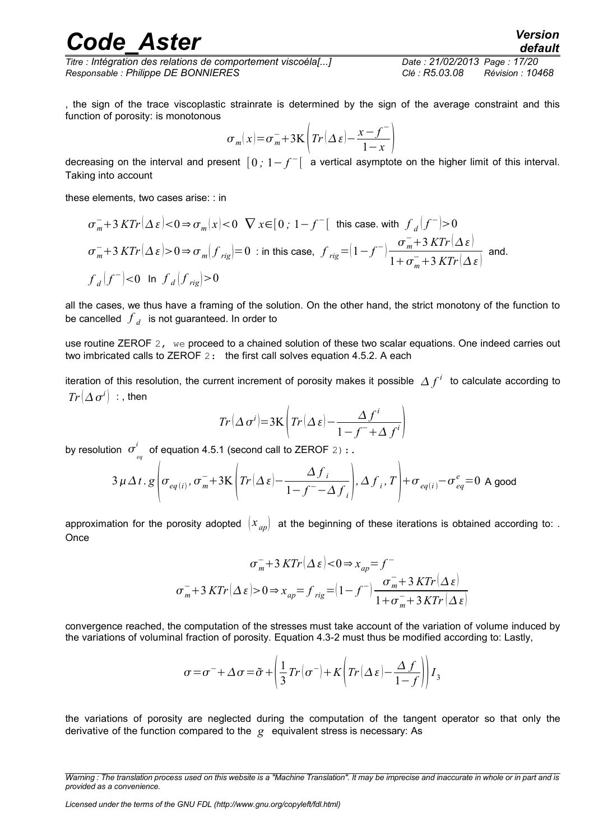*Titre : Intégration des relations de comportement viscoéla[...] Date : 21/02/2013 Page : 17/20 Responsable : Philippe DE BONNIERES Clé : R5.03.08 Révision : 10468*

, the sign of the trace viscoplastic strainrate is determined by the sign of the average constraint and this function of porosity: is monotonous

$$
\sigma_m(x) = \sigma_m^- + 3\mathrm{K}\left(Tr\left(\Delta\,\varepsilon\right) - \frac{x - f^-}{1 - x}\right)
$$

decreasing on the interval and present  $[0, 1-f<sup>−</sup>[$  a vertical asymptote on the higher limit of this interval. Taking into account

these elements, two cases arise: : in

$$
\sigma_m^- + 3 \, K Tr(\Delta \, \varepsilon) < 0 \Rightarrow \sigma_m(x) < 0 \quad \nabla \, x \in [0; 1 - f^- \text{[ this case. with } f_d \, |f^-| > 0
$$
\n
$$
\sigma_m^- + 3 \, K Tr(\Delta \, \varepsilon) > 0 \Rightarrow \sigma_m(f_{rig}) = 0 \quad \text{in this case, } f_{rig} = (1 - f^-) \frac{\sigma_m^- + 3 \, K Tr(\Delta \, \varepsilon)}{1 + \sigma_m^- + 3 \, K Tr(\Delta \, \varepsilon)} \text{ and.}
$$
\n
$$
f_d \, |f^-| < 0 \quad \text{In } f_d \, |f_{rig}| > 0
$$

all the cases, we thus have a framing of the solution. On the other hand, the strict monotony of the function to be cancelled  $\left. f\right. _{d}$  is not guaranteed. In order to

use routine ZEROF 2, we proceed to a chained solution of these two scalar equations. One indeed carries out two imbricated calls to ZEROF 2: the first call solves equation 4.5.2. A each

iteration of this resolution, the current increment of porosity makes it possible  $\,\Delta\,f^i\,$  to calculate according to  $Tr[\varDelta\,\sigma^i]\;$  : , then

$$
Tr(\Delta \sigma^{i}) = 3\mathbf{K} \left( Tr(\Delta \varepsilon) - \frac{\Delta f^{i}}{1 - f^{-} + \Delta f^{i}} \right)
$$

by resolution  $\sigma^{\iota}_{_{eq}}$ *i* of equation 4.5.1 (second call to ZEROF  $2$ ):.

$$
3 \mu \Delta t \cdot g \left(\sigma_{eq(i)}, \sigma_{m}^{-}+3K\left(Tr(\Delta \varepsilon)-\frac{\Delta f_{i}}{1-f^{-}-\Delta f_{i}}\right), \Delta f_{i}, T\right)+\sigma_{eq(i)}-\sigma_{eq}^{e}=0 \text{ A good}
$$

approximation for the porosity adopted  $\ket{x_{ap}}$  at the beginning of these iterations is obtained according to: . **Once** 

$$
\sigma_m^- + 3 \, K Tr(\Delta \, \varepsilon) < 0 \Rightarrow x_{ap} = f^-
$$
\n
$$
\sigma_m^- + 3 \, K Tr(\Delta \, \varepsilon) > 0 \Rightarrow x_{ap} = f_{rig} = (1 - f^-) \frac{\sigma_m^- + 3 \, K Tr(\Delta \, \varepsilon)}{1 + \sigma_m^- + 3 \, K Tr(\Delta \, \varepsilon)}
$$

convergence reached, the computation of the stresses must take account of the variation of volume induced by the variations of voluminal fraction of porosity. Equation 4.3-2 must thus be modified according to: Lastly,

$$
\sigma = \sigma^- + \Delta \sigma = \tilde{\sigma} + \left(\frac{1}{3}Tr(\sigma^-) + K\left(Tr(\Delta \varepsilon) - \frac{\Delta f}{1 - f}\right)\right)I_3
$$

the variations of porosity are neglected during the computation of the tangent operator so that only the derivative of the function compared to the *g* equivalent stress is necessary: As

*Warning : The translation process used on this website is a "Machine Translation". It may be imprecise and inaccurate in whole or in part and is provided as a convenience.*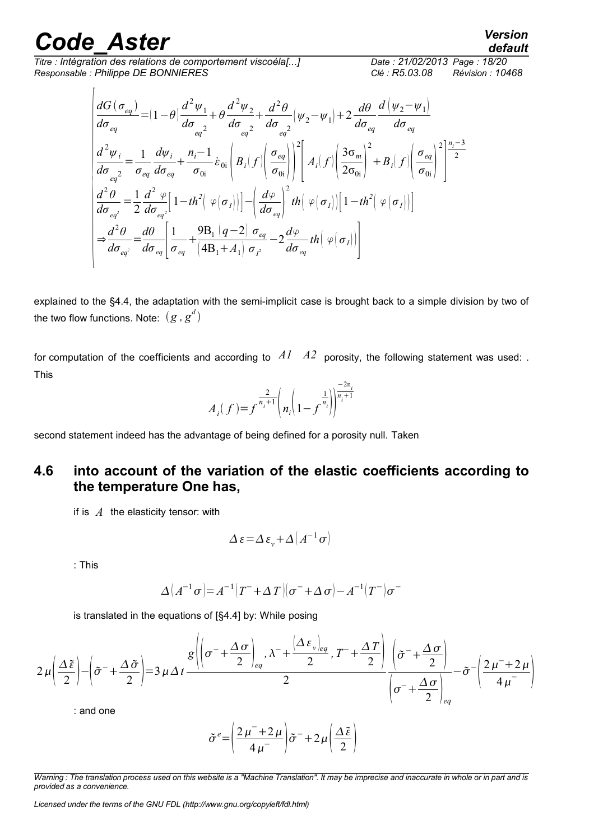*Titre : Intégration des relations de comportement viscoéla[...] Date : 21/02/2013 Page : 18/20 Responsable : Philippe DE BONNIERES Clé : R5.03.08 Révision : 10468*

$$
\begin{aligned}\n\frac{dG(\sigma_{eq})}{d\sigma_{eq}} &= (1 - \theta) \frac{d^2 \psi_1}{d\sigma_{eq^2}} + \theta \frac{d^2 \psi_2}{d\sigma_{eq^2}} + \frac{d^2 \theta}{d\sigma_{eq^2}} (\psi_2 - \psi_1) + 2 \frac{d\theta}{d\sigma_{eq}} \frac{d(\psi_2 - \psi_1)}{d\sigma_{eq}} \\
\frac{d^2 \psi_i}{d\sigma_{eq^2}} &= \frac{1}{\sigma_{eq}} \frac{d\psi_i}{d\sigma_{eq}} + \frac{n_i - 1}{\sigma_{0i}} \dot{\varepsilon}_{0i} \left( B_i(f) \left( \frac{\sigma_{eq}}{\sigma_{0i}} \right) \right)^2 \left[ A_i(f) \left( \frac{3\sigma_m}{2\sigma_{0i}} \right)^2 + B_i(f) \left( \frac{\sigma_{eq}}{\sigma_{0i}} \right)^2 \right] \frac{n_i - 3}{2} \\
\frac{d^2 \theta}{d\sigma_{eq^2}} &= \frac{1}{2} \frac{d^2 \varphi}{d\sigma_{eq^2}} \left[ 1 - th^2 \left( \varphi(\sigma_I) \right) \right] - \left( \frac{d\varphi}{d\sigma_{eq}} \right)^2 th \left( \varphi(\sigma_I) \right) \left[ 1 - th^2 \left( \varphi(\sigma_I) \right) \right] \\
& \Rightarrow \frac{d^2 \theta}{d\sigma_{eq^2}} &= \frac{d\theta}{d\sigma_{eq}} \left[ \frac{1}{\sigma_{eq}} + \frac{9B_i (q - 2) \sigma_{eq}}{\left( 4B_i + A_i \right) \sigma_{I^2}} - 2 \frac{d\varphi}{d\sigma_{eq}} th \left( \varphi(\sigma_I) \right) \right]\n\end{aligned}
$$

explained to the §4.4, the adaptation with the semi-implicit case is brought back to a simple division by two of the two flow functions. Note:  $(g$  ,  $g^d)$ 

for computation of the coefficients and according to  $A1 \ A2$  porosity, the following statement was used: . This

$$
A_i(f) = f^{\frac{2}{n_i+1}} \left( n_i \left( 1 - f^{\frac{1}{n_i}} \right) \right)^{\frac{-2n_i}{n_i+1}}
$$

second statement indeed has the advantage of being defined for a porosity null. Taken

### **4.6 into account of the variation of the elastic coefficients according to the temperature One has,**

if is *A* the elasticity tensor: with

$$
\Delta \varepsilon = \Delta \varepsilon_v + \Delta \left( A^{-1} \sigma \right)
$$

: This

$$
\Delta (A^{-1}\sigma) = A^{-1}(T^- + \Delta T)(\sigma^- + \Delta \sigma) - A^{-1}(T^-)\sigma^-
$$

is translated in the equations of [§4.4] by: While posing

$$
2\mu \left(\frac{\Delta \tilde{\varepsilon}}{2}\right) - \left(\tilde{\sigma}^{-} + \frac{\Delta \tilde{\sigma}}{2}\right) = 3\mu \Delta t \frac{g\left(\left(\sigma^{-} + \frac{\Delta \sigma}{2}\right)_{eq}, \lambda^{-} + \frac{\left(\Delta \varepsilon_{\nu}\right)_{eq}}{2}, T^{-} + \frac{\Delta T}{2}\right)}{\left(\sigma^{-} + \frac{\Delta \sigma}{2}\right)_{eq}} - \tilde{\sigma}^{-} \left(\frac{2\mu^{-} + 2\mu}{4\mu^{-}}\right)
$$

: and one

$$
\tilde{\sigma}^e = \left(\frac{2\,\mu^- + 2\,\mu}{4\,\mu^-}\right)\tilde{\sigma}^- + 2\,\mu\left(\frac{\Delta\,\tilde{\epsilon}}{2}\right)
$$

*Warning : The translation process used on this website is a "Machine Translation". It may be imprecise and inaccurate in whole or in part and is provided as a convenience.*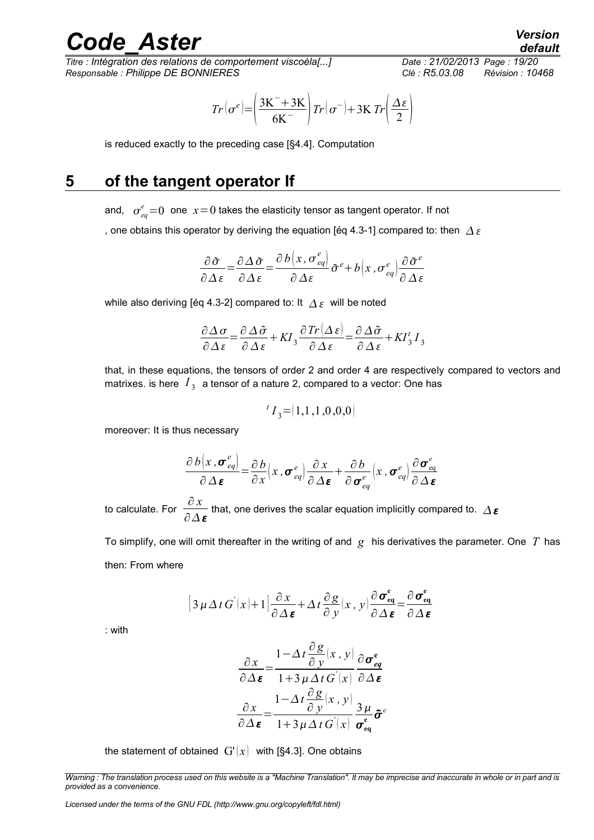*Titre : Intégration des relations de comportement viscoéla[...] Date : 21/02/2013 Page : 19/20 Responsable : Philippe DE BONNIERES Clé : R5.03.08 Révision : 10468*

$$
Tr(\sigma^e) = \left(\frac{3K^- + 3K}{6K^-}\right)Tr(\sigma^-) + 3KT'\left(\frac{\Delta\epsilon}{2}\right)
$$

is reduced exactly to the preceding case [§4.4]. Computation

### **5 of the tangent operator If**

and,  $\sigma_{eq}^{e}\!=\!0$  one  $\,x\!=\!0$  takes the elasticity tensor as tangent operator. If not

, one obtains this operator by deriving the equation [éq 4.3-1] compared to: then  $\Delta \varepsilon$ 

$$
\frac{\partial \tilde{\sigma}}{\partial \Delta \varepsilon} = \frac{\partial \Delta \tilde{\sigma}}{\partial \Delta \varepsilon} = \frac{\partial b \left(x, \sigma_{eq}^e\right)}{\partial \Delta \varepsilon} \tilde{\sigma}^e + b \left(x, \sigma_{eq}^e\right) \frac{\partial \tilde{\sigma}^e}{\partial \Delta \varepsilon}
$$

while also deriving [éq 4.3-2] compared to: It  $\Delta \varepsilon$  will be noted

$$
\frac{\partial \Delta \sigma}{\partial \Delta \varepsilon} = \frac{\partial \Delta \tilde{\sigma}}{\partial \Delta \varepsilon} + K I_3 \frac{\partial Tr[\Delta \varepsilon]}{\partial \Delta \varepsilon} = \frac{\partial \Delta \tilde{\sigma}}{\partial \Delta \varepsilon} + K I_3^t I_3
$$

that, in these equations, the tensors of order 2 and order 4 are respectively compared to vectors and matrixes. is here  $\vert I_{\overline{3}}\vert$  a tensor of a nature 2, compared to a vector: One has

$$
{}^{t}I_{3}{=}{\left[1,1\,,1\,,0\,,0,0\right)}
$$

moreover: It is thus necessary

$$
\frac{\partial b(x, \sigma_{eq}^e)}{\partial \Delta \boldsymbol{\varepsilon}} = \frac{\partial b}{\partial x}(x, \sigma_{eq}^e) \frac{\partial x}{\partial \Delta \boldsymbol{\varepsilon}} + \frac{\partial b}{\partial \sigma_{eq}^e}(x, \sigma_{eq}^e) \frac{\partial \sigma_{eq}^e}{\partial \Delta \boldsymbol{\varepsilon}}
$$

to calculate. For  $\frac{\partial x}{\partial x}$  $\frac{\partial u}{\partial \Delta \varepsilon}$  that, one derives the scalar equation implicitly compared to.  $\Delta \varepsilon$ 

To simplify, one will omit thereafter in the writing of and *g* his derivatives the parameter. One *T* has then: From where

$$
\left[3\,\mu\,\Delta\,t\,G^{'}(x)+1\right]\frac{\partial\,x}{\partial\,\Delta\,\boldsymbol{\varepsilon}}+\Delta\,t\,\frac{\partial\,g}{\partial\,y}(x\,,\,y)\frac{\partial\,\boldsymbol{\sigma}^{\mathsf{e}}_{\mathsf{eq}}}{\partial\,\Delta\,\boldsymbol{\varepsilon}}=\frac{\partial\,\boldsymbol{\sigma}^{\mathsf{e}}_{\mathsf{eq}}}{\partial\,\Delta\,\boldsymbol{\varepsilon}}
$$

: with

$$
\frac{\partial x}{\partial \Delta \varepsilon} = \frac{1 - \Delta t \frac{\partial g}{\partial y}(x, y)}{1 + 3 \mu \Delta t G'(x)} \frac{\partial \sigma_{eq}^{\varepsilon}}{\partial \Delta \varepsilon}
$$

$$
\frac{\partial x}{\partial \Delta \varepsilon} = \frac{1 - \Delta t \frac{\partial g}{\partial y}(x, y)}{1 + 3 \mu \Delta t G'(x)} \frac{3 \mu}{\sigma_{eq}^{\varepsilon}} \tilde{\sigma}^{\varepsilon}
$$

the statement of obtained  $G'(x)$  with [§4.3]. One obtains

*Warning : The translation process used on this website is a "Machine Translation". It may be imprecise and inaccurate in whole or in part and is provided as a convenience.*